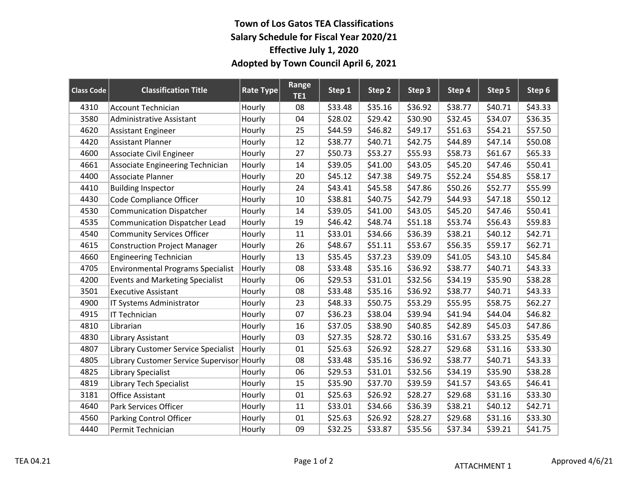## **Town of Los Gatos TEA Classifications Salary Schedule for Fiscal Year 2020/21 Effective July 1, 2020 Adopted by Town Council April 6, 2021**

| <b>Class Code</b> | <b>Classification Title</b>              | Rate Type | <b>Range</b><br><b>TE1</b> | Step 1  | Step 2  | Step 3  | Step 4  | Step 5  | Step 6  |
|-------------------|------------------------------------------|-----------|----------------------------|---------|---------|---------|---------|---------|---------|
| 4310              | <b>Account Technician</b>                | Hourly    | 08                         | \$33.48 | \$35.16 | \$36.92 | \$38.77 | \$40.71 | \$43.33 |
| 3580              | <b>Administrative Assistant</b>          | Hourly    | 04                         | \$28.02 | \$29.42 | \$30.90 | \$32.45 | \$34.07 | \$36.35 |
| 4620              | <b>Assistant Engineer</b>                | Hourly    | 25                         | \$44.59 | \$46.82 | \$49.17 | \$51.63 | \$54.21 | \$57.50 |
| 4420              | <b>Assistant Planner</b>                 | Hourly    | 12                         | \$38.77 | \$40.71 | \$42.75 | \$44.89 | \$47.14 | \$50.08 |
| 4600              | Associate Civil Engineer                 | Hourly    | 27                         | \$50.73 | \$53.27 | \$55.93 | \$58.73 | \$61.67 | \$65.33 |
| 4661              | Associate Engineering Technician         | Hourly    | 14                         | \$39.05 | \$41.00 | \$43.05 | \$45.20 | \$47.46 | \$50.41 |
| 4400              | Associate Planner                        | Hourly    | 20                         | \$45.12 | \$47.38 | \$49.75 | \$52.24 | \$54.85 | \$58.17 |
| 4410              | <b>Building Inspector</b>                | Hourly    | 24                         | \$43.41 | \$45.58 | \$47.86 | \$50.26 | \$52.77 | \$55.99 |
| 4430              | Code Compliance Officer                  | Hourly    | 10                         | \$38.81 | \$40.75 | \$42.79 | \$44.93 | \$47.18 | \$50.12 |
| 4530              | <b>Communication Dispatcher</b>          | Hourly    | 14                         | \$39.05 | \$41.00 | \$43.05 | \$45.20 | \$47.46 | \$50.41 |
| 4535              | <b>Communication Dispatcher Lead</b>     | Hourly    | 19                         | \$46.42 | \$48.74 | \$51.18 | \$53.74 | \$56.43 | \$59.83 |
| 4540              | <b>Community Services Officer</b>        | Hourly    | 11                         | \$33.01 | \$34.66 | \$36.39 | \$38.21 | \$40.12 | \$42.71 |
| 4615              | <b>Construction Project Manager</b>      | Hourly    | 26                         | \$48.67 | \$51.11 | \$53.67 | \$56.35 | \$59.17 | \$62.71 |
| 4660              | <b>Engineering Technician</b>            | Hourly    | 13                         | \$35.45 | \$37.23 | \$39.09 | \$41.05 | \$43.10 | \$45.84 |
| 4705              | <b>Environmental Programs Specialist</b> | Hourly    | 08                         | \$33.48 | \$35.16 | \$36.92 | \$38.77 | \$40.71 | \$43.33 |
| 4200              | <b>Events and Marketing Specialist</b>   | Hourly    | 06                         | \$29.53 | \$31.01 | \$32.56 | \$34.19 | \$35.90 | \$38.28 |
| 3501              | <b>Executive Assistant</b>               | Hourly    | 08                         | \$33.48 | \$35.16 | \$36.92 | \$38.77 | \$40.71 | \$43.33 |
| 4900              | IT Systems Administrator                 | Hourly    | 23                         | \$48.33 | \$50.75 | \$53.29 | \$55.95 | \$58.75 | \$62.27 |
| 4915              | IT Technician                            | Hourly    | 07                         | \$36.23 | \$38.04 | \$39.94 | \$41.94 | \$44.04 | \$46.82 |
| 4810              | Librarian                                | Hourly    | 16                         | \$37.05 | \$38.90 | \$40.85 | \$42.89 | \$45.03 | \$47.86 |
| 4830              | Library Assistant                        | Hourly    | 03                         | \$27.35 | \$28.72 | \$30.16 | \$31.67 | \$33.25 | \$35.49 |
| 4807              | Library Customer Service Specialist      | Hourly    | 01                         | \$25.63 | \$26.92 | \$28.27 | \$29.68 | \$31.16 | \$33.30 |
| 4805              | Library Customer Service Supervisor      | Hourly    | 08                         | \$33.48 | \$35.16 | \$36.92 | \$38.77 | \$40.71 | \$43.33 |
| 4825              | Library Specialist                       | Hourly    | 06                         | \$29.53 | \$31.01 | \$32.56 | \$34.19 | \$35.90 | \$38.28 |
| 4819              | <b>Library Tech Specialist</b>           | Hourly    | 15                         | \$35.90 | \$37.70 | \$39.59 | \$41.57 | \$43.65 | \$46.41 |
| 3181              | <b>Office Assistant</b>                  | Hourly    | 01                         | \$25.63 | \$26.92 | \$28.27 | \$29.68 | \$31.16 | \$33.30 |
| 4640              | Park Services Officer                    | Hourly    | 11                         | \$33.01 | \$34.66 | \$36.39 | \$38.21 | \$40.12 | \$42.71 |
| 4560              | Parking Control Officer                  | Hourly    | 01                         | \$25.63 | \$26.92 | \$28.27 | \$29.68 | \$31.16 | \$33.30 |
| 4440              | Permit Technician                        | Hourly    | 09                         | \$32.25 | \$33.87 | \$35.56 | \$37.34 | \$39.21 | \$41.75 |